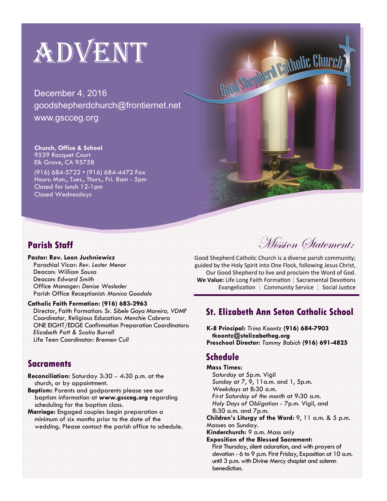# ADVENT

December 4, 2016 goodshepherdchurch@frontiernet.net www.gscceg.org

#### **Church, Office & School**  9539 Racquet Court

Elk Grove, CA 95758

(916) 684-5722 • (916) 684-4472 Fax Hours: Mon., Tues., Thurs., Fri. 8am - 5pm Closed for lunch 12-1pm Closed Wednesdays

### **Parish Staff**

**Pastor: Rev. Leon Juchniewicz**  Parochial Vicar: *Rev. Lester Menor*  Deacon: *William Sousa*  Deacon: *Edward Smith*  Office Manager: *Denise Wesleder* Parish Office Receptionist: *Monica Goodale* 

#### **Catholic Faith Formation: (916) 683-2963**

Director, Faith Formation: *Sr. Sibele Gaya Moreira, VDMF Coordinator,* Religious Education: *Menchie Cabrera*  ONE EIGHT/EDGE Confirmation Preparation Coordinators: *Elizabeth Pott & Scotia Burrell*  Life Teen Coordinator: *Brennen Cull* 

### **Sacraments**

- **Reconciliation:** Saturday 3:30 4:30 p.m. at the church, or by appointment.
- **Baptism:** Parents and godparents please see our baptism information at **www.gscceg.org** regarding scheduling for the baptism class.
- **Marriage:** Engaged couples begin preparation a minimum of six months prior to the date of the wedding. Please contact the parish office to schedule.

Mission Statement:

Good Shepherd Catholic Church is a diverse parish community; guided by the Holy Spirit into One Flock, following Jesus Christ, Our Good Shepherd to live and proclaim the Word of God. **We Value:** Life Long Faith Formation | Sacramental Devotions Evangelization | Community Service | Social Justice

Good Shepherd Catholic Church

### **St. Elizabeth Ann Seton Catholic School**

**K-8 Principal:** *Trina Koontz* **(916) 684-7903 tkoontz@stelizabetheg.org Preschool Director:** *Tammy Babich* **(916) 691-4825** 

## **Schedule**

**Mass Times:**  *Saturday* at 5p.m. Vigil *Sunday* at 7, 9, 11a.m. and 1, 5p.m. *Weekdays* at 8:30 a.m. *First Saturday of the month* at 9:30 a.m. *Holy Days of Obligation* - 7p.m. Vigil, and 8:30 a.m. and 7p.m. **Children's Liturgy of the Word:** 9, 11 a.m. & 5 p.m. Masses on Sunday. **Kinderchurch:** 9 a.m. Mass only **Exposition of the Blessed Sacrament:**  First Thursday, silent adoration, and with prayers of devotion - 6 to 9 p.m. First Friday, Exposition at 10 a.m. until 3 p.m. with Divine Mercy chaplet and solemn benediction.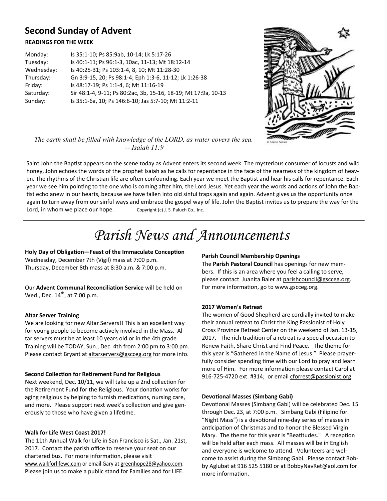# **Second Sunday of Advent**

#### **READINGS FOR THE WEEK**

| Monday:    | Is 35:1-10; Ps 85:9ab, 10-14; Lk 5:17-26                       |
|------------|----------------------------------------------------------------|
| Tuesday:   | Is 40:1-11; Ps 96:1-3, 10ac, 11-13; Mt 18:12-14                |
| Wednesday: | Is 40:25-31; Ps 103:1-4, 8, 10; Mt 11:28-30                    |
| Thursday:  | Gn 3:9-15, 20; Ps 98:1-4; Eph 1:3-6, 11-12; Lk 1:26-38         |
| Friday:    | Is 48:17-19; Ps 1:1-4, 6; Mt 11:16-19                          |
| Saturday:  | Sir 48:1-4, 9-11; Ps 80:2ac, 3b, 15-16, 18-19; Mt 17:9a, 10-13 |
| Sunday:    | Is 35:1-6a, 10; Ps 146:6-10; Jas 5:7-10; Mt 11:2-11            |



*The earth shall be filled with knowledge of the LORD, as water covers the sea. -- Isaiah 11:9* 

Saint John the Baptist appears on the scene today as Advent enters its second week. The mysterious consumer of locusts and wild honey, John echoes the words of the prophet Isaiah as he calls for repentance in the face of the nearness of the kingdom of heaven. The rhythms of the Christian life are often confounding. Each year we meet the Baptist and hear his calls for repentance. Each year we see him pointing to the one who is coming after him, the Lord Jesus. Yet each year the words and actions of John the Baptist echo anew in our hearts, because we have fallen into old sinful traps again and again. Advent gives us the opportunity once again to turn away from our sinful ways and embrace the gospel way of life. John the Baptist invites us to prepare the way for the Lord, in whom we place our hope.  $Covright (c)$  J. S. Paluch Co., Inc.

# *Parish News and Announcements*

Holy Day of Obligation-Feast of the Immaculate Conception Wednesday, December 7th (Vigil) mass at 7:00 p.m. Thursday, December 8th mass at 8:30 a.m. & 7:00 p.m.

Our **Advent Communal ReconciliaƟon Service** will be held on Wed., Dec.  $14^{th}$ , at 7:00 p.m.

#### **Altar Server Training**

We are looking for new Altar Servers!! This is an excellent way for young people to become actively involved in the Mass. Altar servers must be at least 10 years old or in the 4th grade. Training will be TODAY, Sun., Dec. 4th from 2:00 pm to 3:00 pm. Please contact Bryant at altarservers@gscceg.org for more info.

#### **Second CollecƟon for ReƟrement Fund for Religious**

Next weekend, Dec. 10/11, we will take up a 2nd collection for the Retirement Fund for the Religious. Your donation works for aging religious by helping to furnish medications, nursing care, and more. Please support next week's collection and give generously to those who have given a lifetime.

#### **Walk for Life West Coast 2017!**

The 11th Annual Walk for Life in San Francisco is Sat., Jan. 21st, 2017. Contact the parish office to reserve your seat on our chartered bus. For more information, please visit www.walkforlifewc.com or email Gary at greenhope28@yahoo.com. Please join us to make a public stand for Families and for LIFE.

#### **Parish Council Membership Openings**

The **Parish Pastoral Council** has openings for new members. If this is an area where you feel a calling to serve, please contact Juanita Baier at parishcouncil@gscceg.org. For more information, go to www.gscceg.org.

#### **2017 Women's Retreat**

The women of Good Shepherd are cordially invited to make their annual retreat to Christ the King Passionist of Holy Cross Province Retreat Center on the weekend of Jan. 13-15, 2017. The rich tradition of a retreat is a special occasion to Renew Faith, Share Christ and Find Peace. The theme for this year is "Gathered in the Name of Jesus." Please prayerfully consider spending time with our Lord to pray and learn more of Him. For more information please contact Carol at 916-725-4720 ext. #314; or email cforrest@passionist.org.

#### **DevoƟonal Masses (Simbang Gabi)**

Devotional Masses (Simbang Gabi) will be celebrated Dec. 15 through Dec. 23, at 7:00 p.m. Simbang Gabi (Filipino for "Night Mass") is a devotional nine-day series of masses in anticipation of Christmas and to honor the Blessed Virgin Mary. The theme for this year is "Beatitudes." A reception will be held after each mass. All masses will be in English and everyone is welcome to attend. Volunteers are welcome to assist during the Simbang Gabi. Please contact Bobby Aglubat at 916 525 5180 or at BobbyNavRet@aol.com for more information.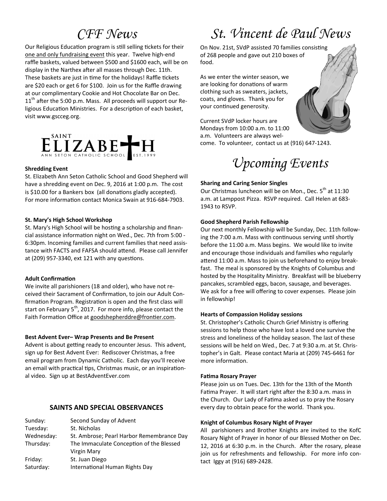Our Religious Education program is still selling tickets for their one and only fundraising event this year. Twelve high-end raffle baskets, valued between \$500 and \$1600 each, will be on display in the Narthex after all masses through Dec. 11th. These baskets are just in time for the holidays! Raffle tickets are \$20 each or get 6 for \$100. Join us for the Raffle drawing at our complimentary Cookie and Hot Chocolate Bar on Dec.  $11<sup>th</sup>$  after the 5:00 p.m. Mass. All proceeds will support our Religious Education Ministries. For a description of each basket, visit www.gscceg.org.



#### **Shredding Event**

St. Elizabeth Ann Seton Catholic School and Good Shepherd will have a shredding event on Dec. 9, 2016 at 1:00 p.m. The cost is \$10.00 for a Bankers box (all donations gladly accepted). For more information contact Monica Swain at 916-684-7903.

#### **St. Mary's High School Workshop**

St. Mary's High School will be hosting a scholarship and financial assistance information night on Wed., Dec. 7th from 5:00 -6:30pm. Incoming families and current families that need assistance with FACTS and FAFSA should attend. Please call Jennifer at (209) 957-3340, ext 121 with any questions.

#### **Adult ConfirmaƟon**

We invite all parishioners (18 and older), who have not received their Sacrament of Confirmation, to join our Adult Confirmation Program. Registration is open and the first class will start on February  $5<sup>th</sup>$ , 2017. For more info, please contact the Faith Formation Office at goodshepherddre@frontier.com.

#### **Best Advent Ever– Wrap Presents and Be Present**

Advent is about getting ready to encounter Jesus. This advent, sign up for Best Advent Ever: Rediscover Christmas, a free email program from Dynamic Catholic. Each day you'll receive an email with practical tips, Christmas music, or an inspirational video. Sign up at BestAdventEver.com

#### **SAINTS AND SPECIAL OBSERVANCES**

| Second Sunday of Advent                   |
|-------------------------------------------|
| St. Nicholas                              |
| St. Ambrose; Pearl Harbor Remembrance Day |
| The Immaculate Conception of the Blessed  |
| Virgin Mary                               |
| St. Juan Diego                            |
| International Human Rights Day            |
|                                           |

# *CFF News St. Vincent de Paul News*

On Nov. 21st, SVdP assisted 70 families consisting of 268 people and gave out 210 boxes of food.

As we enter the winter season, we are looking for donations of warm clothing such as sweaters, jackets, coats, and gloves. Thank you for your continued generosity.

Current SVdP locker hours are Mondays from 10:00 a.m. to 11:00 a.m. Volunteers are always wel-

come. To volunteer, contact us at (916) 647-1243.



*Upcoming Events* 

#### **Sharing and Caring Senior Singles**

Our Christmas luncheon will be on Mon., Dec.  $5^{th}$  at 11:30 a.m. at Lamppost Pizza. RSVP required. Call Helen at 683- 1943 to RSVP.

#### **Good Shepherd Parish Fellowship**

Our next monthly Fellowship will be Sunday, Dec. 11th following the 7:00 a.m. Mass with continuous serving until shortly before the 11:00 a.m. Mass begins. We would like to invite and encourage those individuals and families who regularly attend 11:00 a.m. Mass to join us beforehand to enjoy breakfast. The meal is sponsored by the Knights of Columbus and hosted by the Hospitality Ministry. Breakfast will be blueberry pancakes, scrambled eggs, bacon, sausage, and beverages. We ask for a free will offering to cover expenses. Please join in fellowship!

#### **Hearts of Compassion Holiday sessions**

St. Christopher's Catholic Church Grief Ministry is offering sessions to help those who have lost a loved one survive the stress and loneliness of the holiday season. The last of these sessions will be held on Wed., Dec. 7 at 9:30 a.m. at St. Christopher's in Galt. Please contact Maria at (209) 745-6461 for more information.

#### **FaƟma Rosary Prayer**

Please join us on Tues. Dec. 13th for the 13th of the Month Fatima Prayer. It will start right after the 8:30 a.m. mass in the Church. Our Lady of Fatima asked us to pray the Rosary every day to obtain peace for the world. Thank you.

#### **Knight of Columbus Rosary Night of Prayer**

All parishioners and Brother Knights are invited to the KofC Rosary Night of Prayer in honor of our Blessed Mother on Dec. 12, 2016 at 6:30 p.m. in the Church. After the rosary, please join us for refreshments and fellowship. For more info contact Iggy at (916) 689-2428.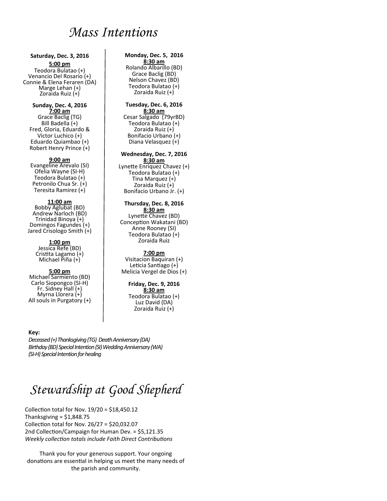# *Mass Intentions*

#### **Saturday, Dec. 3, 2016 5:00 pm**

Teodora Bulatao (+) Venancio Del Rosario (+) Connie & Elena Feraren (DA) Marge Lehan (+) Zoraida Ruiz (+)

#### **Sunday, Dec. 4, 2016**

**7:00 am**  Grace Baclig (TG) Bill Badella (+) Fred, Gloria, Eduardo & Victor Luchico (+) Eduardo Quiambao (+) Robert Henry Prince (+)

#### **9:00 am**

Evangeline Arevalo (SI) Ofelia Wayne (SI-H) Teodora Bulatao (+) Petronilo Chua Sr. (+) Teresita Ramirez (+)

#### **11:00 am**

Bobby Aglubat (BD) Andrew Narloch (BD) Trinidad Binoya (+) Domingos Fagundes (+) Jared Crisologo Smith (+)

#### **1:00 pm**

Jessica Refe (BD) Cristita Lagamo (+) Michael Piña (+)

#### **5:00 pm**

Michael Sarmiento (BD) Carlo Siopongco (SI-H) Fr. Sidney Hall (+) Myrna Llorera (+) All souls in Purgatory (+)

#### **Monday, Dec. 5, 2016**

**8:30 am**  Rolando Albarillo (BD) Grace Baclig (BD) Nelson Chavez (BD) Teodora Bulatao (+) Zoraida Ruiz (+)

#### **Tuesday, Dec. 6, 2016**

**8:30 am**  Cesar Salgado (79yrBD) Teodora Bulatao (+) Zoraida Ruiz (+) Bonifacio Urbano (+) Diana Velasquez (+)

#### **Wednesday, Dec. 7, 2016**

**8:30 am**  Lynette Enriquez Chavez (+) Teodora Bulatao (+) Tina Marquez (+) Zoraida Ruiz (+) Bonifacio Urbano Jr. (+)

#### **Thursday, Dec. 8, 2016 8:30 am**

Lynette Chavez (BD) Conception Wakatani (BD) Anne Rooney (SI) Teodora Bulatao (+) Zoraida Ruiz

#### **7:00 pm**

Visitacion Baquiran (+) Leticia Santiago (+) Melicia Vergel de Dios (+)

#### **Friday, Dec. 9, 2016**

**8:30 am**  Teodora Bulatao (+) Luz David (DA) Zoraida Ruiz (+)

#### **Key:**

*Deceased (+) Thanksgiving (TG) Death Anniversary (DA) Birthday (BD) Special Intention (SI) Wedding Anniversary (WA) (SI-H) Special Intention for healing*

# *Stewardship at Good Shepherd*

Collection total for Nov.  $19/20 = $18,450.12$ Thanksgiving  $= $1,848.75$ Collection total for Nov.  $26/27 = $20,032.07$ 2nd Collection/Campaign for Human Dev. = \$5,121.35 *Weekly collection totals include Faith Direct Contributions* 

Thank you for your generous support. Your ongoing donations are essential in helping us meet the many needs of the parish and community.